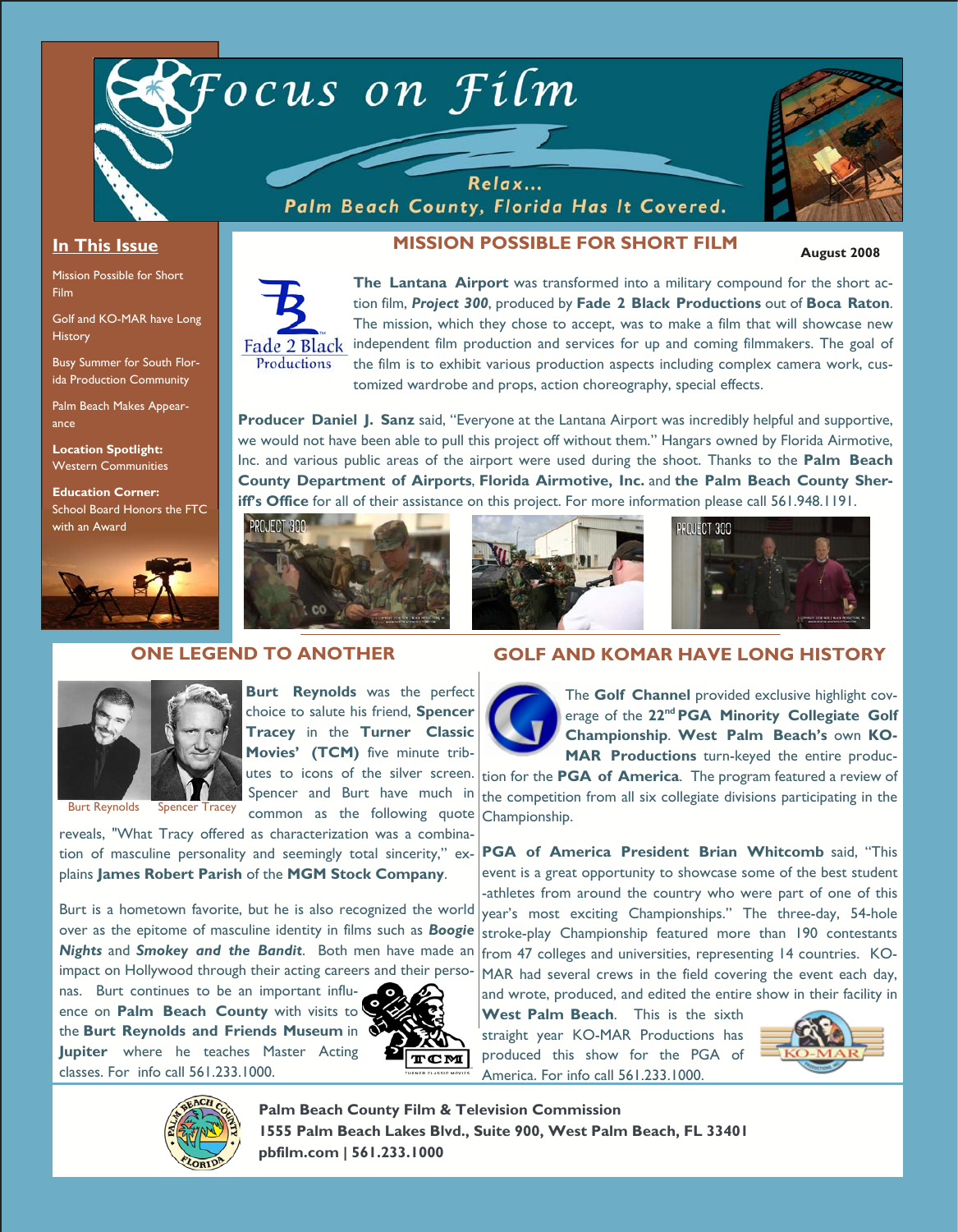

Relax... Palm Beach County, Florida Has It Covered.



**August 2008** 

#### **In This Issue**

Mission Possible for Short Film

Golf and KO-MAR have Long **History** 

Busy Summer for South Florida Production Community

Palm Beach Makes Appearance

**Location Spotlight:**  Western Communities

**Education Corner:**  School Board Honors the FTC with an Award



## **MISSION POSSIBLE FOR SHORT FILM**



**The Lantana Airport** was transformed into a military compound for the short action film, *Project 300*, produced by **Fade 2 Black Productions** out of **Boca Raton**. The mission, which they chose to accept, was to make a film that will showcase new independent film production and services for up and coming filmmakers. The goal of the film is to exhibit various production aspects including complex camera work, customized wardrobe and props, action choreography, special effects.

**Producer Daniel J. Sanz** said, "Everyone at the Lantana Airport was incredibly helpful and supportive, we would not have been able to pull this project off without them." Hangars owned by Florida Airmotive, Inc. and various public areas of the airport were used during the shoot. Thanks to the **Palm Beach County Department of Airports**, **Florida Airmotive, Inc.** and **the Palm Beach County Sheriff's Office** for all of their assistance on this project. For more information please call 561.948.1191.



**Burt Reynolds** was the perfect choice to salute his friend, **Spencer Tracey** in the **Turner Classic Movies' (TCM)** five minute trib-





#### **ONE LEGEND TO ANOTHER**



Burt Reynolds Spencer Tracey

utes to icons of the silver screen. Spencer and Burt have much in common as the following quote

reveals, "What Tracy offered as characterization was a combination of masculine personality and seemingly total sincerity," explains **James Robert Parish** of the **MGM Stock Company**.

Burt is a hometown favorite, but he is also recognized the world over as the epitome of masculine identity in films such as *Boogie Nights* and *Smokey and the Bandit*. Both men have made an impact on Hollywood through their acting careers and their perso-

nas. Burt continues to be an important influence on **Palm Beach County** with visits to the **Burt Reynolds and Friends Museum** in **Jupiter** where he teaches Master Acting classes. For info call 561.233.1000.



## **GOLF AND KOMAR HAVE LONG HISTORY**



The **Golf Channel** provided exclusive highlight coverage of the **22nd PGA Minority Collegiate Golf Championship**. **West Palm Beach's** own **KO-MAR Productions** turn-keyed the entire produc-

tion for the **PGA of America**. The program featured a review of the competition from all six collegiate divisions participating in the Championship.

**PGA of America President Brian Whitcomb** said, "This event is a great opportunity to showcase some of the best student -athletes from around the country who were part of one of this year's most exciting Championships." The three-day, 54-hole stroke-play Championship featured more than 190 contestants from 47 colleges and universities, representing 14 countries. KO-MAR had several crews in the field covering the event each day, and wrote, produced, and edited the entire show in their facility in

**West Palm Beach**. This is the sixth straight year KO-MAR Productions has produced this show for the PGA of America. For info call 561.233.1000.





**Palm Beach County Film & Television Commission 1555 Palm Beach Lakes Blvd., Suite 900, West Palm Beach, FL 33401 pbfilm.com | 561.233.1000**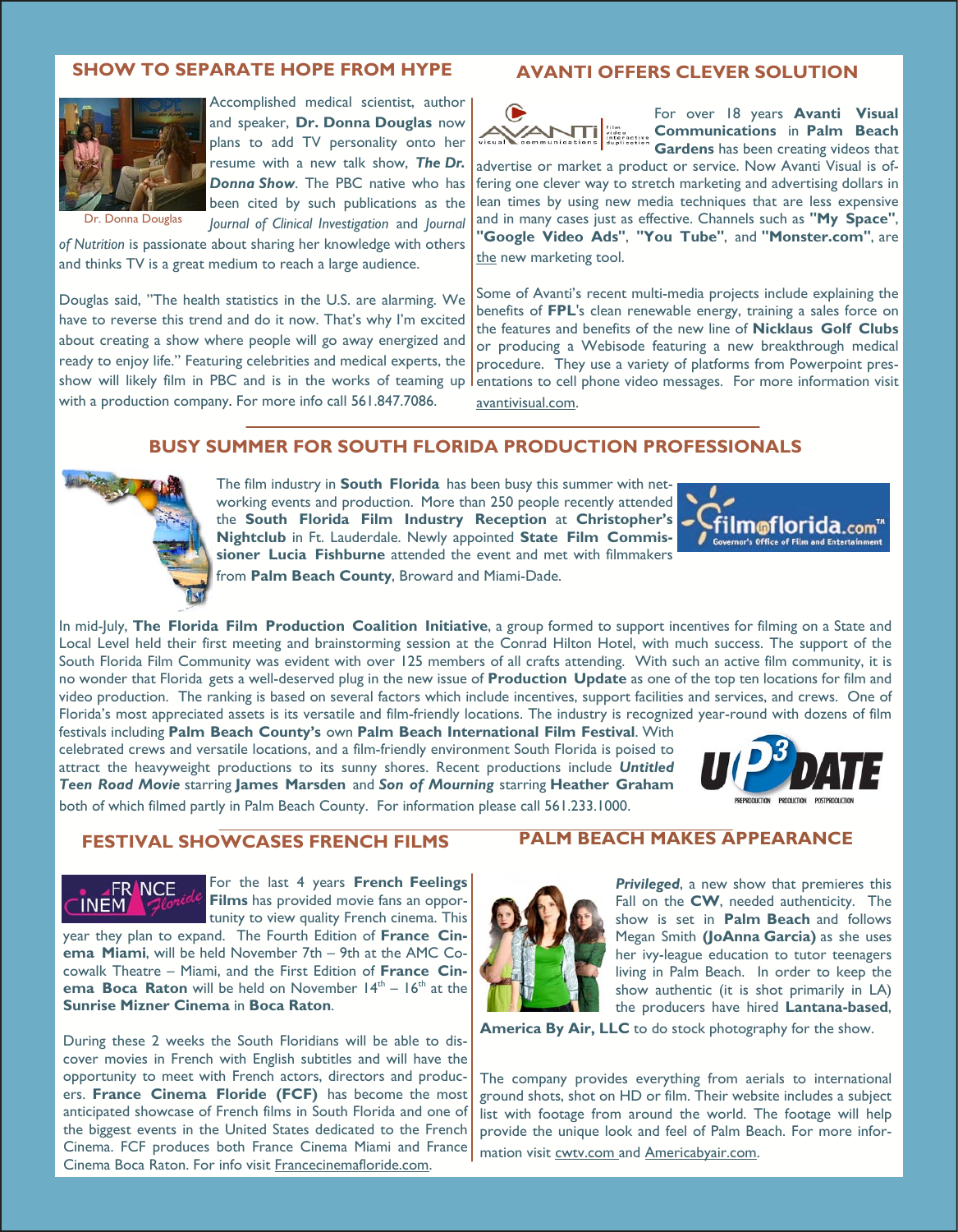## **SHOW TO SEPARATE HOPE FROM HYPE**



Accomplished medical scientist, author and speaker, **Dr. Donna Douglas** now plans to add TV personality onto her resume with a new talk show, *The Dr. Donna Show*. The PBC native who has been cited by such publications as the *Journal of Clinical Investigation* and *Journal* 

Donna Douglas

*of Nutrition* is passionate about sharing her knowledge with others and thinks TV is a great medium to reach a large audience.

Douglas said, "The health statistics in the U.S. are alarming. We have to reverse this trend and do it now. That's why I'm excited about creating a show where people will go away energized and ready to enjoy life." Featuring celebrities and medical experts, the show will likely film in PBC and is in the works of teaming up with a production company. For more info call 561.847.7086.

#### **AVANTI OFFERS CLEVER SOLUTION**



For over 18 years **Avanti Visual Communications** in **Palm Beach Gardens** has been creating videos that

advertise or market a product or service. Now Avanti Visual is offering one clever way to stretch marketing and advertising dollars in lean times by using new media techniques that are less expensive and in many cases just as effective. Channels such as **"My Space"**, **"Google Video Ads"**, **"You Tube"**, and **"Monster.com"**, are the new marketing tool.

Some of Avanti's recent multi-media projects include explaining the benefits of **FPL**'s clean renewable energy, training a sales force on the features and benefits of the new line of **Nicklaus Golf Clubs** or producing a Webisode featuring a new breakthrough medical procedure. They use a variety of platforms from Powerpoint presentations to cell phone video messages. For more information visit avantivisual.com.

#### **BUSY SUMMER FOR SOUTH FLORIDA PRODUCTION PROFESSIONALS**



**FRANCE** 

**INEM** 

The film industry in **South Florida** has been busy this summer with networking events and production. More than 250 people recently attended the **South Florida Film Industry Reception** at **Christopher's Nightclub** in Ft. Lauderdale. Newly appointed **State Film Commissioner Lucia Fishburne** attended the event and met with filmmakers from **Palm Beach County**, Broward and Miami-Dade.



In mid-July, **The Florida Film Production Coalition Initiative**, a group formed to support incentives for filming on a State and Local Level held their first meeting and brainstorming session at the Conrad Hilton Hotel, with much success. The support of the South Florida Film Community was evident with over 125 members of all crafts attending. With such an active film community, it is no wonder that Florida gets a well-deserved plug in the new issue of **Production Update** as one of the top ten locations for film and video production. The ranking is based on several factors which include incentives, support facilities and services, and crews. One of Florida's most appreciated assets is its versatile and film-friendly locations. The industry is recognized year-round with dozens of film

festivals including **Palm Beach County's** own **Palm Beach International Film Festival**. With celebrated crews and versatile locations, and a film-friendly environment South Florida is poised to attract the heavyweight productions to its sunny shores. Recent productions include *Untitled Teen Road Movie* starring **James Marsden** and *Son of Mourning* starring **Heather Graham**  both of which filmed partly in Palm Beach County. For information please call 561.233.1000.



## **FESTIVAL SHOWCASES FRENCH FILMS**

For the last 4 years **French Feelings Films** has provided movie fans an opportunity to view quality French cinema. This

year they plan to expand. The Fourth Edition of **France Cinema Miami**, will be held November 7th – 9th at the AMC Cocowalk Theatre – Miami, and the First Edition of **France Cinema Boca Raton** will be held on November 14<sup>th</sup> – 16<sup>th</sup> at the **Sunrise Mizner Cinema** in **Boca Raton**.

During these 2 weeks the South Floridians will be able to discover movies in French with English subtitles and will have the opportunity to meet with French actors, directors and producers. **France Cinema Floride (FCF)** has become the most anticipated showcase of French films in South Florida and one of the biggest events in the United States dedicated to the French Cinema. FCF produces both France Cinema Miami and France Cinema Boca Raton. For info visit Francecinemafloride.com.

#### **PALM BEACH MAKES APPEARANCE**



*Privileged*, a new show that premieres this Fall on the **CW**, needed authenticity. The show is set in **Palm Beach** and follows Megan Smith **(JoAnna Garcia)** as she uses her ivy-league education to tutor teenagers living in Palm Beach. In order to keep the show authentic (it is shot primarily in LA) the producers have hired **Lantana-based**,

**America By Air, LLC** to do stock photography for the show.

The company provides everything from aerials to international ground shots, shot on HD or film. Their website includes a subject list with footage from around the world. The footage will help provide the unique look and feel of Palm Beach. For more information visit cwtv.com and Americabyair.com.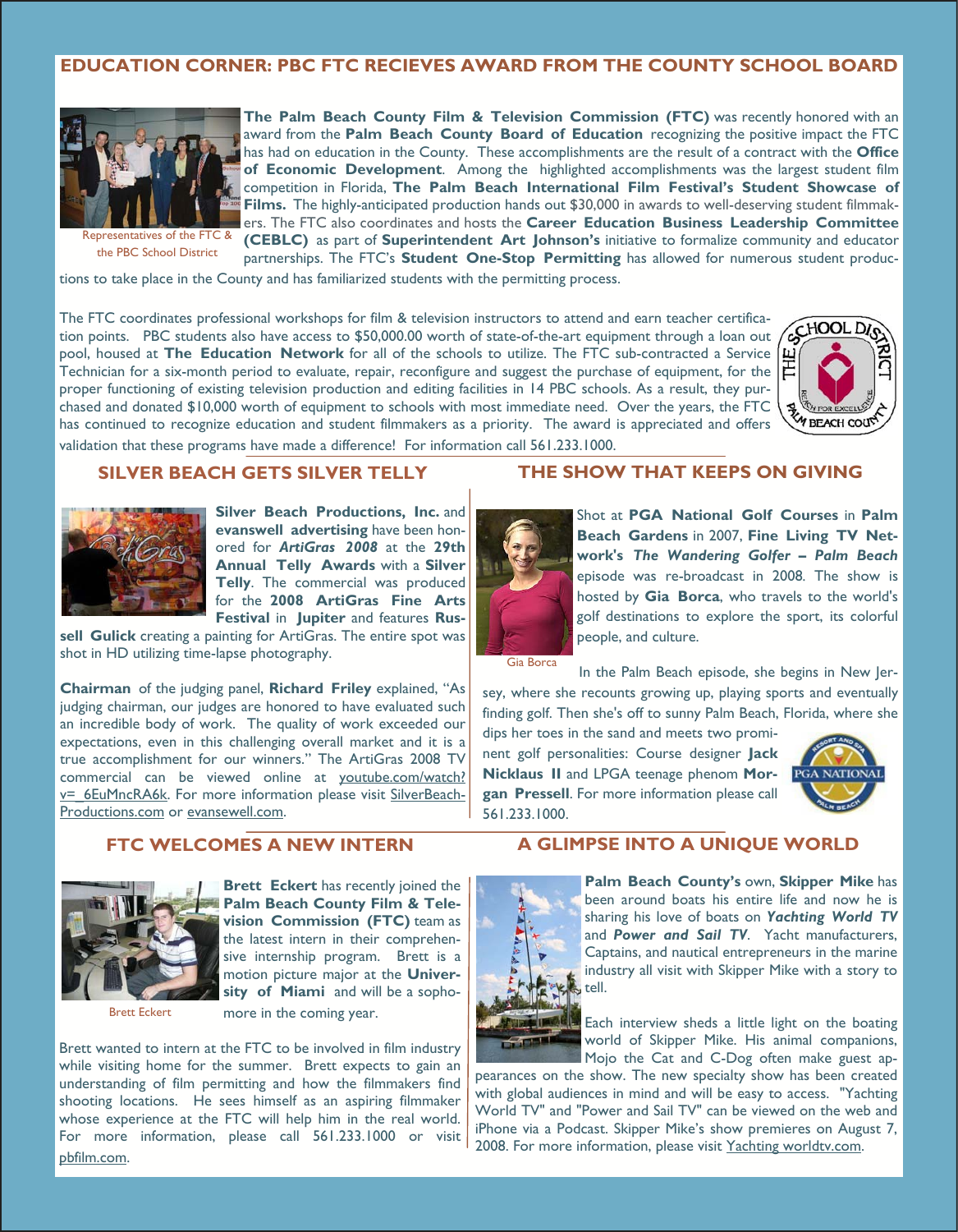## **EDUCATION CORNER: PBC FTC RECIEVES AWARD FROM THE COUNTY SCHOOL BOARD**



Representatives of the FTC & the PBC School District

**The Palm Beach County Film & Television Commission (FTC)** was recently honored with an award from the **Palm Beach County Board of Education** recognizing the positive impact the FTC has had on education in the County. These accomplishments are the result of a contract with the **Office of Economic Development**. Among the highlighted accomplishments was the largest student film competition in Florida, **The Palm Beach International Film Festival's Student Showcase of Films.** The highly-anticipated production hands out \$30,000 in awards to well-deserving student filmmakers. The FTC also coordinates and hosts the **Career Education Business Leadership Committee (CEBLC)** as part of **Superintendent Art Johnson's** initiative to formalize community and educator partnerships. The FTC's **Student One-Stop Permitting** has allowed for numerous student produc-

tions to take place in the County and has familiarized students with the permitting process.

The FTC coordinates professional workshops for film & television instructors to attend and earn teacher certification points. PBC students also have access to \$50,000.00 worth of state-of-the-art equipment through a loan out pool, housed at **The Education Network** for all of the schools to utilize. The FTC sub-contracted a Service Technician for a six-month period to evaluate, repair, reconfigure and suggest the purchase of equipment, for the proper functioning of existing television production and editing facilities in 14 PBC schools. As a result, they purchased and donated \$10,000 worth of equipment to schools with most immediate need. Over the years, the FTC has continued to recognize education and student filmmakers as a priority. The award is appreciated and offers



validation that these programs have made a difference! For information call 561.233.1000.

#### **SILVER BEACH GETS SILVER TELLY**



**Silver Beach Productions, Inc.** and **evanswell advertising** have been honored for *ArtiGras 2008* at the **29th Annual Telly Awards** with a **Silver Telly**. The commercial was produced for the **2008 ArtiGras Fine Arts Festival** in **Jupiter** and features **Rus-**

**sell Gulick** creating a painting for ArtiGras. The entire spot was shot in HD utilizing time-lapse photography.

**Chairman** of the judging panel, **Richard Friley** explained, "As judging chairman, our judges are honored to have evaluated such an incredible body of work. The quality of work exceeded our expectations, even in this challenging overall market and it is a true accomplishment for our winners." The ArtiGras 2008 TV commercial can be viewed online at youtube.com/watch? v= 6EuMncRA6k. For more information please visit SilverBeach-Productions.com or evansewell.com.

## **THE SHOW THAT KEEPS ON GIVING**



Shot at **PGA National Golf Courses** in **Palm Beach Gardens** in 2007, **Fine Living TV Network's** *The Wandering Golfer – Palm Beach* episode was re-broadcast in 2008*.* The show is hosted by **Gia Borca**, who travels to the world's golf destinations to explore the sport, its colorful people, and culture.

Gia Borca

In the Palm Beach episode, she begins in New Jersey, where she recounts growing up, playing sports and eventually finding golf. Then she's off to sunny Palm Beach, Florida, where she dips her toes in the sand and meets two promi-

nent golf personalities: Course designer **Jack Nicklaus II** and LPGA teenage phenom **Morgan Pressell**. For more information please call 561.233.1000.



**FTC WELCOMES A NEW INTERN**



Brett Eckert

**Brett Eckert** has recently joined the **Palm Beach County Film & Television Commission (FTC)** team as the latest intern in their comprehensive internship program. Brett is a motion picture major at the **University of Miami** and will be a sophomore in the coming year.

Brett wanted to intern at the FTC to be involved in film industry while visiting home for the summer. Brett expects to gain an understanding of film permitting and how the filmmakers find shooting locations. He sees himself as an aspiring filmmaker whose experience at the FTC will help him in the real world. For more information, please call 561.233.1000 or visit pbfilm.com.

### **A GLIMPSE INTO A UNIQUE WORLD**



**Palm Beach County's** own, **Skipper Mike** has been around boats his entire life and now he is sharing his love of boats on *Yachting World TV* and *Power and Sail TV*. Yacht manufacturers, Captains, and nautical entrepreneurs in the marine industry all visit with Skipper Mike with a story to

Each interview sheds a little light on the boating world of Skipper Mike. His animal companions, Mojo the Cat and C-Dog often make guest ap-

pearances on the show. The new specialty show has been created with global audiences in mind and will be easy to access. "Yachting World TV" and "Power and Sail TV" can be viewed on the web and iPhone via a Podcast. Skipper Mike's show premieres on August 7, 2008. For more information, please visit Yachting worldtv.com.